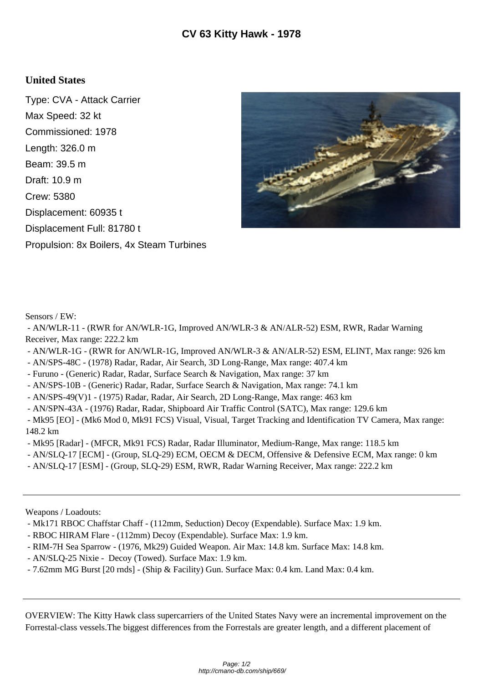## **United States**

Type: CVA - Attack Carrier Max Speed: 32 kt Commissioned: 1978 Length: 326.0 m Beam: 39.5 m Draft: 10.9 m Crew: 5380 Displacement: 60935 t Displacement Full: 81780 t Propulsion: 8x Boilers, 4x Steam Turbines



Sensors / EW:

 - AN/WLR-11 - (RWR for AN/WLR-1G, Improved AN/WLR-3 & AN/ALR-52) ESM, RWR, Radar Warning Receiver, Max range: 222.2 km

- AN/WLR-1G (RWR for AN/WLR-1G, Improved AN/WLR-3 & AN/ALR-52) ESM, ELINT, Max range: 926 km
- AN/SPS-48C (1978) Radar, Radar, Air Search, 3D Long-Range, Max range: 407.4 km
- Furuno (Generic) Radar, Radar, Surface Search & Navigation, Max range: 37 km
- AN/SPS-10B (Generic) Radar, Radar, Surface Search & Navigation, Max range: 74.1 km
- AN/SPS-49(V)1 (1975) Radar, Radar, Air Search, 2D Long-Range, Max range: 463 km
- AN/SPN-43A (1976) Radar, Radar, Shipboard Air Traffic Control (SATC), Max range: 129.6 km

 - Mk95 [EO] - (Mk6 Mod 0, Mk91 FCS) Visual, Visual, Target Tracking and Identification TV Camera, Max range: 148.2 km

- Mk95 [Radar] (MFCR, Mk91 FCS) Radar, Radar Illuminator, Medium-Range, Max range: 118.5 km
- AN/SLQ-17 [ECM] (Group, SLQ-29) ECM, OECM & DECM, Offensive & Defensive ECM, Max range: 0 km
- AN/SLQ-17 [ESM] (Group, SLQ-29) ESM, RWR, Radar Warning Receiver, Max range: 222.2 km

Weapons / Loadouts:

- Mk171 RBOC Chaffstar Chaff (112mm, Seduction) Decoy (Expendable). Surface Max: 1.9 km.
- RBOC HIRAM Flare (112mm) Decoy (Expendable). Surface Max: 1.9 km.
- RIM-7H Sea Sparrow (1976, Mk29) Guided Weapon. Air Max: 14.8 km. Surface Max: 14.8 km.
- AN/SLQ-25 Nixie Decoy (Towed). Surface Max: 1.9 km.
- 7.62mm MG Burst [20 rnds] (Ship & Facility) Gun. Surface Max: 0.4 km. Land Max: 0.4 km.

OVERVIEW: The Kitty Hawk class supercarriers of the United States Navy were an incremental improvement on the Forrestal-class vessels.The biggest differences from the Forrestals are greater length, and a different placement of